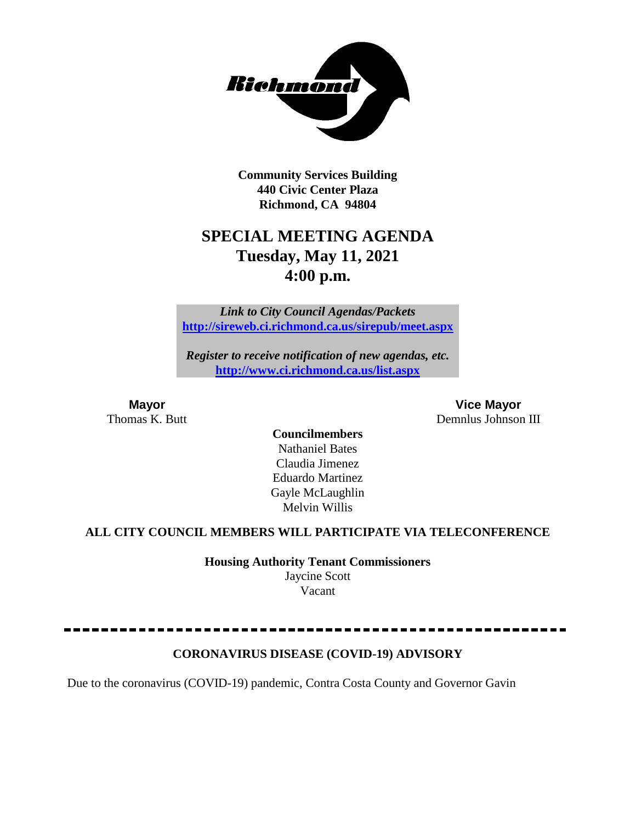

**Community Services Building 440 Civic Center Plaza Richmond, CA 94804**

# **SPECIAL MEETING AGENDA Tuesday, May 11, 2021 4:00 p.m.**

*Link to City Council Agendas/Packets* **<http://sireweb.ci.richmond.ca.us/sirepub/meet.aspx>**

*Register to receive notification of new agendas, etc.* **<http://www.ci.richmond.ca.us/list.aspx>**

**Mayor Vice Mayor** Thomas K. Butt Demnlus Johnson III

> **Councilmembers** Nathaniel Bates Claudia Jimenez Eduardo Martinez Gayle McLaughlin Melvin Willis

### **ALL CITY COUNCIL MEMBERS WILL PARTICIPATE VIA TELECONFERENCE**

**Housing Authority Tenant Commissioners** Jaycine Scott Vacant

# **CORONAVIRUS DISEASE (COVID-19) ADVISORY**

Due to the coronavirus (COVID-19) pandemic, Contra Costa County and Governor Gavin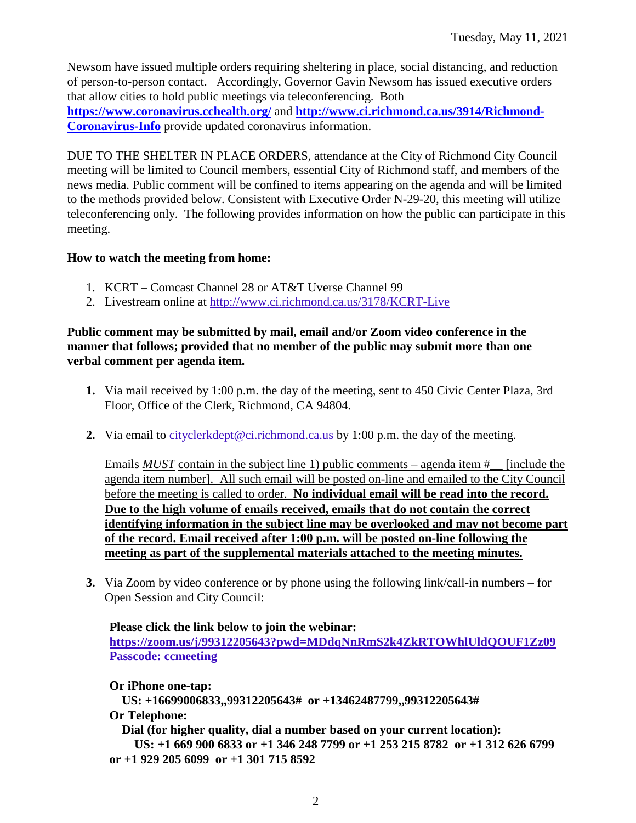Newsom have issued multiple orders requiring sheltering in place, social distancing, and reduction of person-to-person contact. Accordingly, Governor Gavin Newsom has issued executive orders that allow cities to hold public meetings via teleconferencing. Both **<https://www.coronavirus.cchealth.org/>** and **[http://www.ci.richmond.ca.us/3914/Richmond-](http://www.ci.richmond.ca.us/3914/Richmond-Coronavirus-Info)[Coronavirus-Info](http://www.ci.richmond.ca.us/3914/Richmond-Coronavirus-Info)** provide updated coronavirus information.

DUE TO THE SHELTER IN PLACE ORDERS, attendance at the City of Richmond City Council meeting will be limited to Council members, essential City of Richmond staff, and members of the news media. Public comment will be confined to items appearing on the agenda and will be limited to the methods provided below. Consistent with Executive Order N-29-20, this meeting will utilize teleconferencing only. The following provides information on how the public can participate in this meeting.

# **How to watch the meeting from home:**

- 1. KCRT Comcast Channel 28 or AT&T Uverse Channel 99
- 2. Livestream online at<http://www.ci.richmond.ca.us/3178/KCRT-Live>

#### **Public comment may be submitted by mail, email and/or Zoom video conference in the manner that follows; provided that no member of the public may submit more than one verbal comment per agenda item.**

- **1.** Via mail received by 1:00 p.m. the day of the meeting, sent to 450 Civic Center Plaza, 3rd Floor, Office of the Clerk, Richmond, CA 94804.
- **2.** Via email to [cityclerkdept@ci.richmond.ca.us](mailto:cityclerkdept@ci.richmond.ca.us) by 1:00 p.m. the day of the meeting.

Emails *MUST* contain in the subject line 1) public comments – agenda item #\_\_ [include the agenda item number]. All such email will be posted on-line and emailed to the City Council before the meeting is called to order. **No individual email will be read into the record. Due to the high volume of emails received, emails that do not contain the correct identifying information in the subject line may be overlooked and may not become part of the record. Email received after 1:00 p.m. will be posted on-line following the meeting as part of the supplemental materials attached to the meeting minutes.**

**3.** Via Zoom by video conference or by phone using the following link/call-in numbers – for Open Session and City Council:

### **Please click the link below to join the webinar: <https://zoom.us/j/99312205643?pwd=MDdqNnRmS2k4ZkRTOWhlUldQOUF1Zz09> Passcode: ccmeeting**

**Or iPhone one-tap: US: +16699006833,,99312205643# or +13462487799,,99312205643# Or Telephone: Dial (for higher quality, dial a number based on your current location): US: +1 669 900 6833 or +1 346 248 7799 or +1 253 215 8782 or +1 312 626 6799 or +1 929 205 6099 or +1 301 715 8592**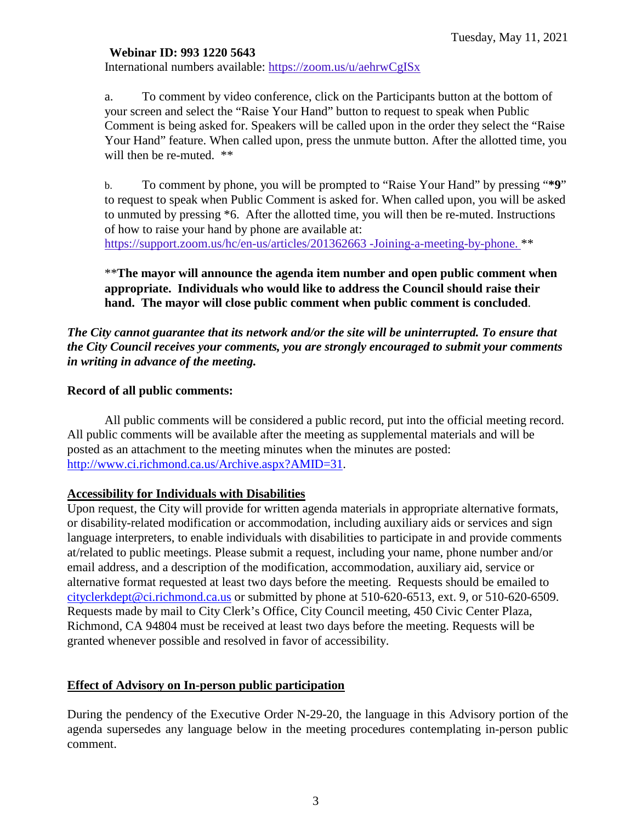#### **Webinar ID: 993 1220 5643**

International numbers available: <https://zoom.us/u/aehrwCgISx>

a. To comment by video conference, click on the Participants button at the bottom of your screen and select the "Raise Your Hand" button to request to speak when Public Comment is being asked for. Speakers will be called upon in the order they select the "Raise Your Hand" feature. When called upon, press the unmute button. After the allotted time, you will then be re-muted. \*\*

b. To comment by phone, you will be prompted to "Raise Your Hand" by pressing "**\*9**" to request to speak when Public Comment is asked for. When called upon, you will be asked to unmuted by pressing \*6. After the allotted time, you will then be re-muted. Instructions of how to raise your hand by phone are available at: [https://support.zoom.us/hc/en-us/articles/201362663 -Joining-a-meeting-by-phone.](https://support.zoom.us/hc/en-us/articles/201362663) \*\*

\*\***The mayor will announce the agenda item number and open public comment when appropriate. Individuals who would like to address the Council should raise their hand. The mayor will close public comment when public comment is concluded**.

#### *The City cannot guarantee that its network and/or the site will be uninterrupted. To ensure that the City Council receives your comments, you are strongly encouraged to submit your comments in writing in advance of the meeting.*

#### **Record of all public comments:**

All public comments will be considered a public record, put into the official meeting record. All public comments will be available after the meeting as supplemental materials and will be posted as an attachment to the meeting minutes when the minutes are posted: [http://www.ci.richmond.ca.us/Archive.aspx?AMID=31.](http://www.ci.richmond.ca.us/Archive.aspx?AMID=31)

#### **Accessibility for Individuals with Disabilities**

Upon request, the City will provide for written agenda materials in appropriate alternative formats, or disability-related modification or accommodation, including auxiliary aids or services and sign language interpreters, to enable individuals with disabilities to participate in and provide comments at/related to public meetings. Please submit a request, including your name, phone number and/or email address, and a description of the modification, accommodation, auxiliary aid, service or alternative format requested at least two days before the meeting. Requests should be emailed to [cityclerkdept@ci.richmond.ca.us](mailto:cityclerkdept@ci.richmond.ca.us) or submitted by phone at 510-620-6513, ext. 9, or 510-620-6509. Requests made by mail to City Clerk's Office, City Council meeting, 450 Civic Center Plaza, Richmond, CA 94804 must be received at least two days before the meeting. Requests will be granted whenever possible and resolved in favor of accessibility.

#### **Effect of Advisory on In-person public participation**

During the pendency of the Executive Order N-29-20, the language in this Advisory portion of the agenda supersedes any language below in the meeting procedures contemplating in-person public comment.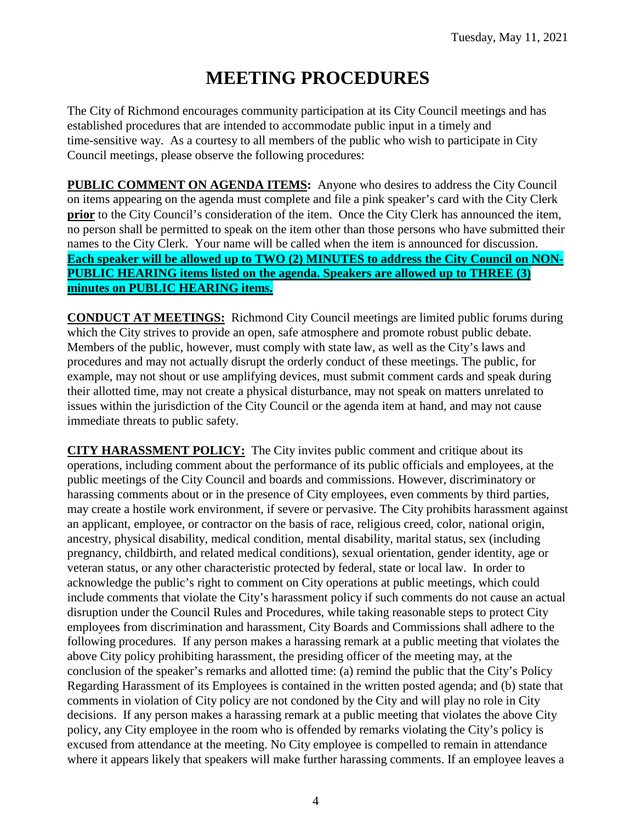# **MEETING PROCEDURES**

The City of Richmond encourages community participation at its City Council meetings and has established procedures that are intended to accommodate public input in a timely and time-sensitive way. As a courtesy to all members of the public who wish to participate in City Council meetings, please observe the following procedures:

**PUBLIC COMMENT ON AGENDA ITEMS:** Anyone who desires to address the City Council on items appearing on the agenda must complete and file a pink speaker's card with the City Clerk **prior** to the City Council's consideration of the item. Once the City Clerk has announced the item, no person shall be permitted to speak on the item other than those persons who have submitted their names to the City Clerk. Your name will be called when the item is announced for discussion. **Each speaker will be allowed up to TWO (2) MINUTES to address the City Council on NON-PUBLIC HEARING items listed on the agenda. Speakers are allowed up to THREE (3) minutes on PUBLIC HEARING items.**

**CONDUCT AT MEETINGS:** Richmond City Council meetings are limited public forums during which the City strives to provide an open, safe atmosphere and promote robust public debate. Members of the public, however, must comply with state law, as well as the City's laws and procedures and may not actually disrupt the orderly conduct of these meetings. The public, for example, may not shout or use amplifying devices, must submit comment cards and speak during their allotted time, may not create a physical disturbance, may not speak on matters unrelated to issues within the jurisdiction of the City Council or the agenda item at hand, and may not cause immediate threats to public safety.

**CITY HARASSMENT POLICY:** The City invites public comment and critique about its operations, including comment about the performance of its public officials and employees, at the public meetings of the City Council and boards and commissions. However, discriminatory or harassing comments about or in the presence of City employees, even comments by third parties, may create a hostile work environment, if severe or pervasive. The City prohibits harassment against an applicant, employee, or contractor on the basis of race, religious creed, color, national origin, ancestry, physical disability, medical condition, mental disability, marital status, sex (including pregnancy, childbirth, and related medical conditions), sexual orientation, gender identity, age or veteran status, or any other characteristic protected by federal, state or local law. In order to acknowledge the public's right to comment on City operations at public meetings, which could include comments that violate the City's harassment policy if such comments do not cause an actual disruption under the Council Rules and Procedures, while taking reasonable steps to protect City employees from discrimination and harassment, City Boards and Commissions shall adhere to the following procedures. If any person makes a harassing remark at a public meeting that violates the above City policy prohibiting harassment, the presiding officer of the meeting may, at the conclusion of the speaker's remarks and allotted time: (a) remind the public that the City's Policy Regarding Harassment of its Employees is contained in the written posted agenda; and (b) state that comments in violation of City policy are not condoned by the City and will play no role in City decisions. If any person makes a harassing remark at a public meeting that violates the above City policy, any City employee in the room who is offended by remarks violating the City's policy is excused from attendance at the meeting. No City employee is compelled to remain in attendance where it appears likely that speakers will make further harassing comments. If an employee leaves a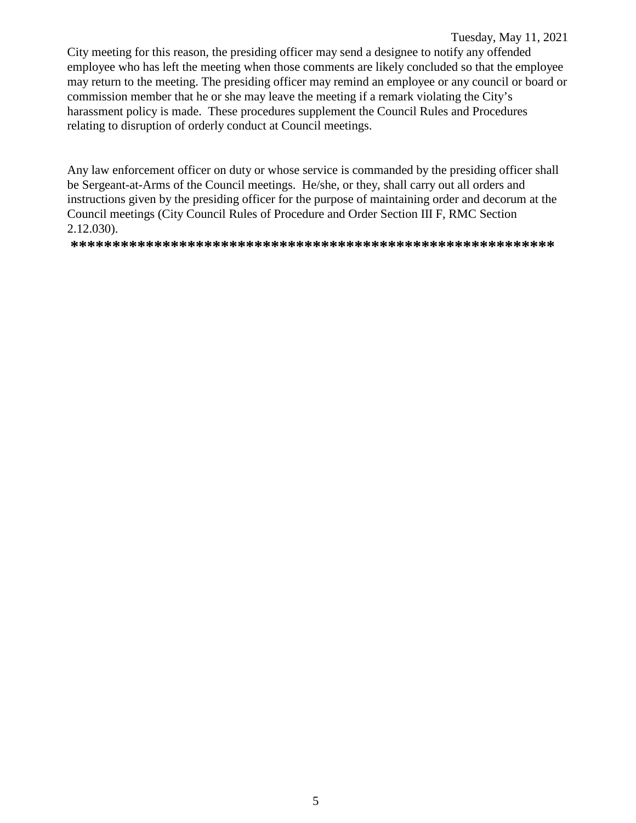#### Tuesday, May 11, 2021

City meeting for this reason, the presiding officer may send a designee to notify any offended employee who has left the meeting when those comments are likely concluded so that the employee may return to the meeting. The presiding officer may remind an employee or any council or board or commission member that he or she may leave the meeting if a remark violating the City's harassment policy is made. These procedures supplement the Council Rules and Procedures relating to disruption of orderly conduct at Council meetings.

Any law enforcement officer on duty or whose service is commanded by the presiding officer shall be Sergeant-at-Arms of the Council meetings. He/she, or they, shall carry out all orders and instructions given by the presiding officer for the purpose of maintaining order and decorum at the Council meetings (City Council Rules of Procedure and Order Section III F, RMC Section 2.12.030).

**\*\*\*\*\*\*\*\*\*\*\*\*\*\*\*\*\*\*\*\*\*\*\*\*\*\*\*\*\*\*\*\*\*\*\*\*\*\*\*\*\*\*\*\*\*\*\*\*\*\*\*\*\*\*\*\*\*\***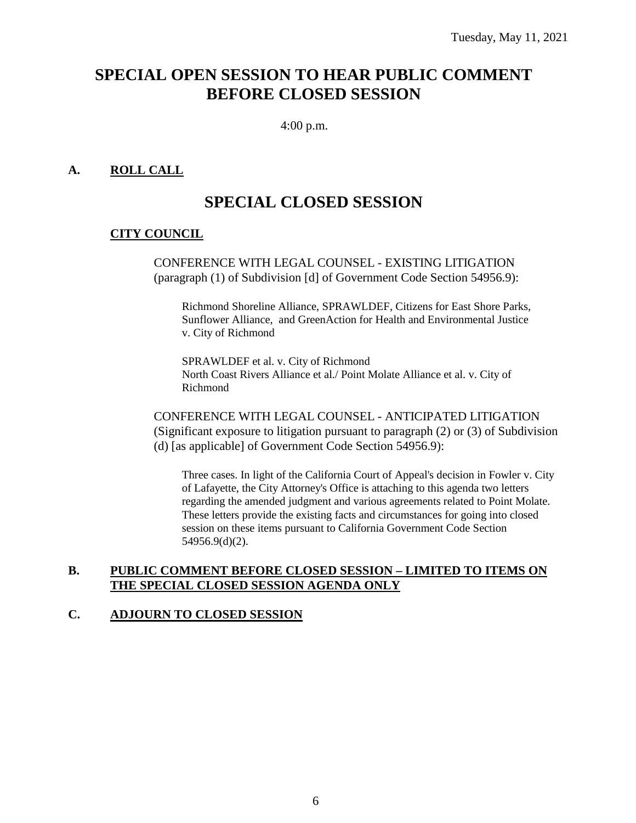# **SPECIAL OPEN SESSION TO HEAR PUBLIC COMMENT BEFORE CLOSED SESSION**

4:00 p.m.

### **A. ROLL CALL**

# **SPECIAL CLOSED SESSION**

#### **CITY COUNCIL**

CONFERENCE WITH LEGAL COUNSEL - EXISTING LITIGATION (paragraph (1) of Subdivision [d] of Government Code Section 54956.9):

Richmond Shoreline Alliance, SPRAWLDEF, Citizens for East Shore Parks, Sunflower Alliance, and GreenAction for Health and Environmental Justice v. City of Richmond

SPRAWLDEF et al. v. City of Richmond North Coast Rivers Alliance et al./ Point Molate Alliance et al. v. City of Richmond

CONFERENCE WITH LEGAL COUNSEL - ANTICIPATED LITIGATION (Significant exposure to litigation pursuant to paragraph (2) or (3) of Subdivision (d) [as applicable] of Government Code Section 54956.9):

Three cases. In light of the California Court of Appeal's decision in Fowler v. City of Lafayette, the City Attorney's Office is attaching to this agenda two letters regarding the amended judgment and various agreements related to Point Molate. These letters provide the existing facts and circumstances for going into closed session on these items pursuant to California Government Code Section 54956.9(d)(2).

#### **B. PUBLIC COMMENT BEFORE CLOSED SESSION – LIMITED TO ITEMS ON THE SPECIAL CLOSED SESSION AGENDA ONLY**

#### **C. ADJOURN TO CLOSED SESSION**